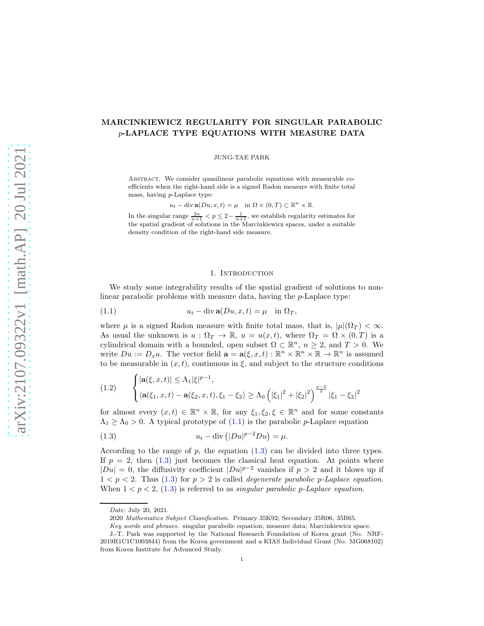# MARCINKIEWICZ REGULARITY FOR SINGULAR PARABOLIC p-LAPLACE TYPE EQUATIONS WITH MEASURE DATA

JUNG-TAE PARK

ABSTRACT. We consider quasilinear parabolic equations with measurable coefficients when the right-hand side is a signed Radon measure with finite total mass, having p-Laplace type:

 $u_t$  – div  $\mathbf{a}(Du, x, t) = \mu$  in  $\Omega \times (0, T) \subset \mathbb{R}^n \times \mathbb{R}$ .

In the singular range  $\frac{2n}{n+1} < p \leq 2 - \frac{1}{n+1}$ , we establish regularity estimates for the spatial gradient of solutions in the Marcinkiewicz spaces, under a suitable density condition of the right-hand side measure.

# <span id="page-0-0"></span>1. INTRODUCTION

We study some integrability results of the spatial gradient of solutions to nonlinear parabolic problems with measure data, having the p-Laplace type:

(1.1) 
$$
u_t - \text{div } \mathbf{a}(Du, x, t) = \mu \quad \text{in } \Omega_T,
$$

where  $\mu$  is a signed Radon measure with finite total mass, that is,  $|\mu|(\Omega_T) < \infty$ . As usual the unknown is  $u : \Omega_T \to \mathbb{R}$ ,  $u = u(x, t)$ , where  $\Omega_T = \Omega \times (0, T)$  is a cylindrical domain with a bounded, open subset  $\Omega \subset \mathbb{R}^n$ ,  $n \geq 2$ , and  $T > 0$ . We write  $Du := D_x u$ . The vector field  $\mathbf{a} = \mathbf{a}(\xi, x, t) : \mathbb{R}^n \times \mathbb{R}^n \times \mathbb{R} \to \mathbb{R}^n$  is assumed to be measurable in  $(x, t)$ , continuous in  $\xi$ , and subject to the structure conditions

<span id="page-0-2"></span>
$$
(1.2) \qquad \begin{cases} |\mathbf{a}(\xi, x, t)| \leq \Lambda_1 |\xi|^{p-1}, \\ \langle \mathbf{a}(\xi_1, x, t) - \mathbf{a}(\xi_2, x, t), \xi_1 - \xi_2 \rangle \geq \Lambda_0 \left( |\xi_1|^2 + |\xi_2|^2 \right)^{\frac{p-2}{2}} |\xi_1 - \xi_2|^2 \end{cases}
$$

for almost every  $(x,t) \in \mathbb{R}^n \times \mathbb{R}$ , for any  $\xi_1, \xi_2, \xi \in \mathbb{R}^n$  and for some constants  $\Lambda_1 \geq \Lambda_0 > 0$ . A typical prototype of  $(1.1)$  is the parabolic p-Laplace equation

<span id="page-0-1"></span>
$$
(1.3) \t\t u_t - \operatorname{div} (|Du|^{p-2}Du) = \mu.
$$

According to the range of  $p$ , the equation  $(1.3)$  can be divided into three types. If  $p = 2$ , then [\(1.3\)](#page-0-1) just becomes the classical heat equation. At points where  $|Du|=0$ , the diffusivity coefficient  $|Du|^{p-2}$  vanishes if  $p>2$  and it blows up if  $1 < p < 2$ . Thus [\(1.3\)](#page-0-1) for  $p > 2$  is called *degenerate parabolic p-Laplace equation*. When 1 < p < 2, [\(1.3\)](#page-0-1) is referred to as *singular parabolic* p*-Laplace equation*.

Date: July 20, 2021.

<sup>2020</sup> Mathematics Subject Classification. Primary 35K92; Secondary 35R06, 35B65.

Key words and phrases. singular parabolic equation; measure data; Marcinkiewicz space.

J.-T. Park was supported by the National Research Foundation of Korea grant (No. NRF-2019R1C1C1003844) from the Korea government and a KIAS Individual Grant (No. MG068102) from Korea Institute for Advanced Study.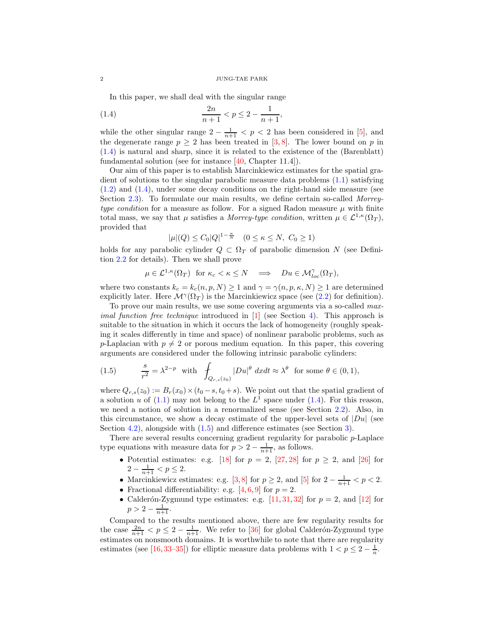<span id="page-1-0"></span>In this paper, we shall deal with the singular range

(1.4) 
$$
\frac{2n}{n+1} < p \le 2 - \frac{1}{n+1},
$$

while the other singular range  $2 - \frac{1}{n+1} < p < 2$  has been considered in [\[5\]](#page-16-0), and the degenerate range  $p \geq 2$  has been treated in [\[3,](#page-16-1) [8\]](#page-16-2). The lower bound on p in [\(1.4\)](#page-1-0) is natural and sharp, since it is related to the existence of the (Barenblatt) fundamental solution (see for instance [\[40,](#page-17-0) Chapter 11.4]).

Our aim of this paper is to establish Marcinkiewicz estimates for the spatial gradient of solutions to the singular parabolic measure data problems [\(1.1\)](#page-0-0) satisfying [\(1.2\)](#page-0-2) and [\(1.4\)](#page-1-0), under some decay conditions on the right-hand side measure (see Section [2.3\)](#page-4-0). To formulate our main results, we define certain so-called *Morreytype condition* for a measure as follow. For a signed Radon measure  $\mu$  with finite total mass, we say that  $\mu$  satisfies a *Morrey-type condition*, written  $\mu \in \mathcal{L}^{1,\kappa}(\Omega_T)$ , provided that

$$
|\mu|(Q) \le C_0|Q|^{1-\frac{\kappa}{N}} \quad (0 \le \kappa \le N, \ C_0 \ge 1)
$$

holds for any parabolic cylinder  $Q \subset \Omega_T$  of parabolic dimension N (see Definition 2.2 for details). Then we shall prove

$$
\mu\in \mathcal{L}^{1,\kappa}(\Omega_T)\ \ \text{for}\ \kappa_c<\kappa\leq N\quad\Longrightarrow\quad Du\in \mathcal{M}^{\gamma}_{loc}(\Omega_T),
$$

where two constants  $k_c = k_c(n, p, N) \ge 1$  and  $\gamma = \gamma(n, p, \kappa, N) \ge 1$  are determined explicitly later. Here  $\mathcal{M}^{\gamma}(\Omega_T)$  is the Marcinkiewicz space (see [\(2.2\)](#page-2-0) for definition).

To prove our main results, we use some covering arguments via a so-called *maximal function free technique* introduced in [\[1\]](#page-16-3) (see Section [4\)](#page-10-0). This approach is suitable to the situation in which it occurs the lack of homogeneity (roughly speaking it scales differently in time and space) of nonlinear parabolic problems, such as p-Laplacian with  $p \neq 2$  or porous medium equation. In this paper, this covering arguments are considered under the following intrinsic parabolic cylinders:

<span id="page-1-1"></span>(1.5) 
$$
\frac{s}{r^2} = \lambda^{2-p} \text{ with } \int_{Q_{r,s}(z_0)} |Du|^{\theta} dx dt \approx \lambda^{\theta} \text{ for some } \theta \in (0,1),
$$

where  $Q_{r,s}(z_0) := B_r(x_0) \times (t_0 - s, t_0 + s)$ . We point out that the spatial gradient of a solution u of  $(1.1)$  may not belong to the  $L^1$  space under  $(1.4)$ . For this reason, we need a notion of solution in a renormalized sense (see Section [2.2\)](#page-3-0). Also, in this circumstance, we show a decay estimate of the upper-level sets of  $|Du|$  (see Section [4.2\)](#page-12-0), alongside with  $(1.5)$  and difference estimates (see Section [3\)](#page-6-0).

There are several results concerning gradient regularity for parabolic  $p$ -Laplace type equations with measure data for  $p > 2 - \frac{1}{n+1}$ , as follows.

- Potential estimates: e.g. [\[18\]](#page-17-1) for  $p = 2$ , [\[27,](#page-17-2) [28\]](#page-17-3) for  $p \geq 2$ , and [\[26\]](#page-17-4) for  $2 - \frac{1}{n+1} < p \leq 2.$
- Marcinkiewicz estimates: e.g. [\[3,](#page-16-1)[8\]](#page-16-2) for  $p \ge 2$ , and [\[5\]](#page-16-0) for  $2 \frac{1}{n+1} < p < 2$ .
- Fractional differentiability: e.g. [\[4,](#page-16-4) [6,](#page-16-5) [9\]](#page-16-6) for  $p = 2$ .
- Calderón-Zygmund type estimates: e.g.  $[11, 31, 32]$  $[11, 31, 32]$  $[11, 31, 32]$  $[11, 31, 32]$  for  $p = 2$ , and  $[12]$  for  $p > 2 - \frac{1}{n+1}.$

Compared to the results mentioned above, there are few regularity results for the case  $\frac{2n}{n+1} < p \leq 2 - \frac{1}{n+1}$ . We refer to [\[36\]](#page-17-7) for global Calderón-Zygmund type estimates on nonsmooth domains. It is worthwhile to note that there are regularity estimates (see [\[16,](#page-17-8) [33](#page-17-9)[–35\]](#page-17-10)) for elliptic measure data problems with  $1 < p \leq 2 - \frac{1}{n}$ .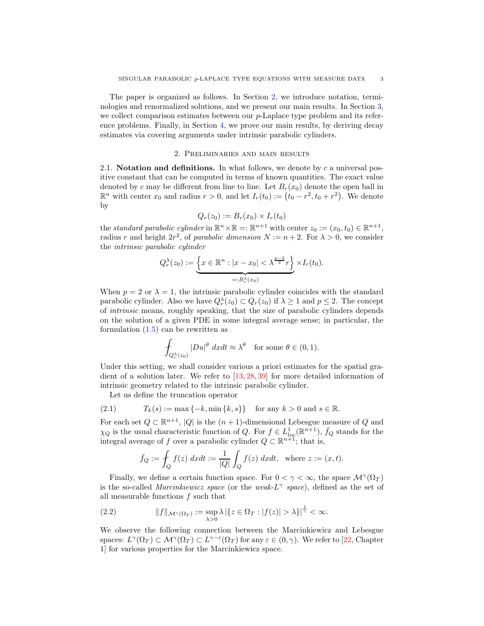The paper is organized as follows. In Section [2,](#page-2-1) we introduce notation, terminologies and renormalized solutions, and we present our main results. In Section [3,](#page-6-0) we collect comparison estimates between our  $p$ -Laplace type problem and its reference problems. Finally, in Section [4,](#page-10-0) we prove our main results, by deriving decay estimates via covering arguments under intrinsic parabolic cylinders.

## 2. Preliminaries and main results

<span id="page-2-1"></span>2.1. Notation and definitions. In what follows, we denote by c a universal positive constant that can be computed in terms of known quantities. The exact value denoted by c may be different from line to line. Let  $B_r(x_0)$  denote the open ball in  $\mathbb{R}^n$  with center  $x_0$  and radius  $r > 0$ , and let  $I_r(t_0) := (t_0 - r^2, t_0 + r^2)$ . We denote by

$$
Q_r(z_0) := B_r(x_0) \times I_r(t_0)
$$

the *standard parabolic cylinder* in  $\mathbb{R}^n \times \mathbb{R} =: \mathbb{R}^{n+1}$  with center  $z_0 := (x_0, t_0) \in \mathbb{R}^{n+1}$ , radius r and height  $2r^2$ , of *parabolic dimension*  $N := n + 2$ . For  $\lambda > 0$ , we consider the *intrinsic parabolic cylinder*

$$
Q_r^{\lambda}(z_0) := \underbrace{\left\{x \in \mathbb{R}^n : |x - x_0| < \lambda^{\frac{p-2}{2}}r\right\}}_{=: B_r^{\lambda}(x_0)} \times I_r(t_0).
$$

When  $p = 2$  or  $\lambda = 1$ , the intrinsic parabolic cylinder coincides with the standard parabolic cylinder. Also we have  $Q_r^{\lambda}(z_0) \subset Q_r(z_0)$  if  $\lambda \geq 1$  and  $p \leq 2$ . The concept of *intrinsic* means, roughly speaking, that the size of parabolic cylinders depends on the solution of a given PDE in some integral average sense; in particular, the formulation [\(1.5\)](#page-1-1) can be rewritten as

$$
\oint_{Q_r^{\lambda}(z_0)} |Du|^{\theta} dx dt \approx \lambda^{\theta} \text{ for some } \theta \in (0,1).
$$

Under this setting, we shall consider various a priori estimates for the spatial gradient of a solution later. We refer to [\[13,](#page-16-9) [28,](#page-17-3) [39\]](#page-17-11) for more detailed information of intrinsic geometry related to the intrinsic parabolic cylinder.

<span id="page-2-2"></span>Let us define the truncation operator

(2.1) 
$$
T_k(s) := \max\{-k, \min\{k, s\}\}\
$$
 for any  $k > 0$  and  $s \in \mathbb{R}$ .

For each set  $Q \subset \mathbb{R}^{n+1}$ ,  $|Q|$  is the  $(n+1)$ -dimensional Lebesgue measure of Q and  $\chi_Q$  is the usual characteristic function of Q. For  $f \in L^1_{loc}(\mathbb{R}^{n+1})$ ,  $\bar{f}_Q$  stands for the integral average of f over a parabolic cylinder  $Q \subset \mathbb{R}^{n+1}$ ; that is,

$$
\bar{f}_Q := \oint_Q f(z) \ dx dt := \frac{1}{|Q|} \int_Q f(z) \ dx dt, \text{ where } z := (x, t).
$$

Finally, we define a certain function space. For  $0 < \gamma < \infty$ , the space  $\mathcal{M}^{\gamma}(\Omega_T)$ is the so-called *Marcinkiewicz space* (or the *weak-*L γ *space*), defined as the set of all measurable functions f such that

<span id="page-2-0"></span>(2.2) 
$$
||f||_{\mathcal{M}^{\gamma}(\Omega_T)} := \sup_{\lambda>0} \lambda |\{z \in \Omega_T : |f(z)| > \lambda\}|^{\frac{1}{\gamma}} < \infty.
$$

We observe the following connection between the Marcinkiewicz and Lebesgue spaces:  $L^{\gamma}(\Omega_T) \subset \mathcal{M}^{\gamma}(\Omega_T) \subset L^{\gamma-\varepsilon}(\Omega_T)$  for any  $\varepsilon \in (0, \gamma)$ . We refer to [\[22,](#page-17-12) Chapter 1] for various properties for the Marcinkiewicz space.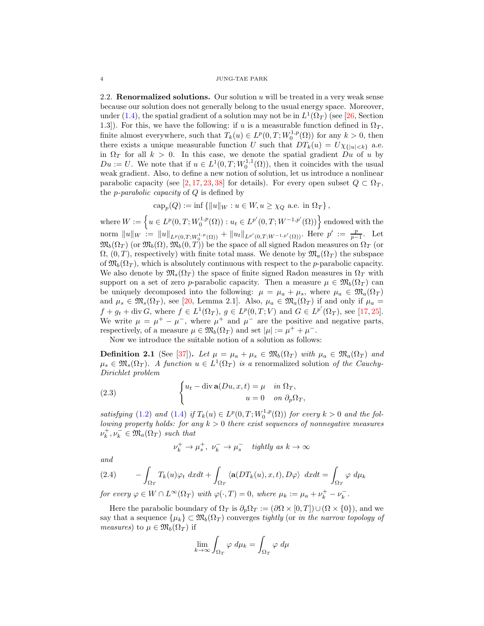### <span id="page-3-0"></span>4 JUNG-TAE PARK

2.2. **Renormalized solutions.** Our solution  $u$  will be treated in a very weak sense because our solution does not generally belong to the usual energy space. Moreover, under [\(1.4\)](#page-1-0), the spatial gradient of a solution may not be in  $L^1(\Omega_T)$  (see [\[26,](#page-17-4) Section 1.3]). For this, we have the following: if u is a measurable function defined in  $\Omega_T$ , finite almost everywhere, such that  $T_k(u) \in L^p(0,T;W_0^{1,p}(\Omega))$  for any  $k > 0$ , then there exists a unique measurable function U such that  $DT_k(u) = U \chi_{\{|u| \leq k\}}$  a.e. in  $\Omega_T$  for all  $k > 0$ . In this case, we denote the spatial gradient Du of u by  $Du := U$ . We note that if  $u \in L^1(0,T;W_0^{1,1}(\Omega))$ , then it coincides with the usual weak gradient. Also, to define a new notion of solution, let us introduce a nonlinear parabolic capacity (see [\[2,](#page-16-10) [17,](#page-17-13) [23,](#page-17-14) [38\]](#page-17-15) for details). For every open subset  $Q \subset \Omega_T$ , the p*-parabolic capacity* of Q is defined by

$$
\operatorname{cap}_p(Q) := \inf \left\{ ||u||_W : u \in W, u \ge \chi_Q \text{ a.e. in } \Omega_T \right\},\
$$

where  $W := \left\{ u \in L^p(0,T; W_0^{1,p}(\Omega)) : u_t \in L^{p'}(0,T; W^{-1,p'}(\Omega)) \right\}$  endowed with the norm  $||u||_W := ||u||_{L^p(0,T;W_0^{1,p}(\Omega))} + ||u_t||_{L^{p'}(0,T;W^{-1,p'}(\Omega))}$ . Here  $p' := \frac{p}{p-1}$ . Let  $\mathfrak{M}_b(\Omega_T)$  (or  $\mathfrak{M}_b(\Omega)$ ,  $\mathfrak{M}_b(0,T)$ ) be the space of all signed Radon measures on  $\Omega_T$  (or  $\Omega$ ,  $(0, T)$ , respectively) with finite total mass. We denote by  $\mathfrak{M}_a(\Omega_T)$  the subspace of  $\mathfrak{M}_b(\Omega_T)$ , which is absolutely continuous with respect to the p-parabolic capacity. We also denote by  $\mathfrak{M}_s(\Omega_T)$  the space of finite signed Radon measures in  $\Omega_T$  with support on a set of zero p-parabolic capacity. Then a measure  $\mu \in \mathfrak{M}_b(\Omega_T)$  can be uniquely decomposed into the following:  $\mu = \mu_a + \mu_s$ , where  $\mu_a \in \mathfrak{M}_a(\Omega_T)$ and  $\mu_s \in \mathfrak{M}_s(\Omega_T)$ , see [\[20,](#page-17-16) Lemma 2.1]. Also,  $\mu_a \in \mathfrak{M}_a(\Omega_T)$  if and only if  $\mu_a =$  $f + g_t + \text{div } G$ , where  $f \in L^1(\Omega_T)$ ,  $g \in L^p(0,T;V)$  and  $G \in L^{p'}(\Omega_T)$ , see [\[17,](#page-17-13) [25\]](#page-17-17). We write  $\mu = \mu^+ - \mu^-$ , where  $\mu^+$  and  $\mu^-$  are the positive and negative parts, respectively, of a measure  $\mu \in \mathfrak{M}_b(\Omega_T)$  and set  $|\mu| := \mu^+ + \mu^-$ .

Now we introduce the suitable notion of a solution as follows:

<span id="page-3-2"></span>**Definition 2.1** (See [\[37\]](#page-17-18)). Let  $\mu = \mu_a + \mu_s \in \mathfrak{M}_b(\Omega_T)$  with  $\mu_a \in \mathfrak{M}_a(\Omega_T)$  and  $\mu_s \in \mathfrak{M}_s(\Omega_T)$ . A function  $u \in L^1(\Omega_T)$  is a renormalized solution of the Cauchy-*Dirichlet problem*

(2.3) 
$$
\begin{cases} u_t - \operatorname{div} \mathbf{a}(Du, x, t) = \mu & \text{in } \Omega_T, \\ u = 0 & \text{on } \partial_p \Omega_T, \end{cases}
$$

*satisfying* [\(1.2\)](#page-0-2) *and* [\(1.4\)](#page-1-0) *if*  $T_k(u) \in L^p(0,T;W_0^{1,p}(\Omega))$  *for every*  $k > 0$  *and the following property holds: for any* k > 0 *there exist sequences of nonnegative measures*  $\nu_k^+, \nu_k^- \in \mathfrak{M}_a(\Omega_T)$  such that

<span id="page-3-1"></span>
$$
\nu_k^+ \to \mu_s^+,\ \nu_k^- \to \mu_s^- \quad \text{tightly as } k \to \infty
$$

*and*

<span id="page-3-3"></span>(2.4) 
$$
- \int_{\Omega_T} T_k(u) \varphi_t \, dx dt + \int_{\Omega_T} \langle \mathbf{a}(DT_k(u), x, t), D\varphi \rangle \, dx dt = \int_{\Omega_T} \varphi \, d\mu_k
$$

*for every*  $\varphi \in W \cap L^{\infty}(\Omega_T)$  *with*  $\varphi(\cdot,T) = 0$ *, where*  $\mu_k := \mu_a + \nu_k^+ - \nu_k^-$ *.* 

Here the parabolic boundary of  $\Omega_T$  is  $\partial_p \Omega_T := (\partial \Omega \times [0, T]) \cup (\Omega \times \{0\})$ , and we say that a sequence  $\{\mu_k\} \subset \mathfrak{M}_b(\Omega_T)$  converges *tightly* (or *in the narrow topology of measures*) to  $\mu \in \mathfrak{M}_b(\Omega_T)$  if

$$
\lim_{k \to \infty} \int_{\Omega_T} \varphi \, d\mu_k = \int_{\Omega_T} \varphi \, d\mu
$$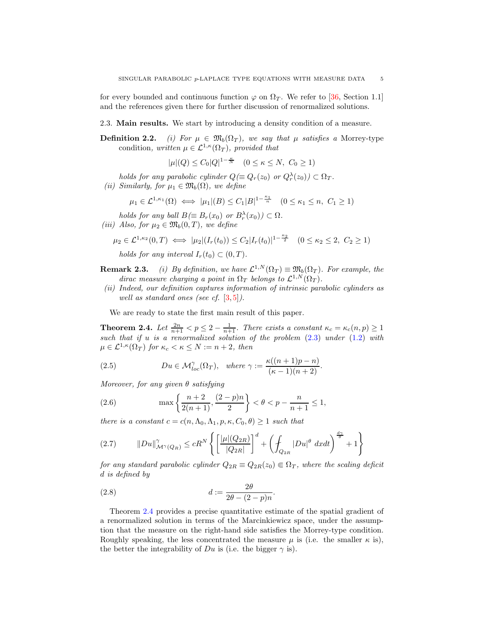for every bounded and continuous function  $\varphi$  on  $\Omega_T$ . We refer to [\[36,](#page-17-7) Section 1.1] and the references given there for further discussion of renormalized solutions.

- <span id="page-4-6"></span><span id="page-4-0"></span>2.3. Main results. We start by introducing a density condition of a measure.
- **Definition 2.2.** *(i) For*  $\mu \in \mathfrak{M}_b(\Omega_T)$ *, we say that*  $\mu$  *satisfies* a Morrey-type condition, written  $\mu \in \mathcal{L}^{1,\kappa}(\Omega_T)$ , provided that

$$
|\mu|(Q) \le C_0|Q|^{1-\frac{\kappa}{N}} \quad (0 \le \kappa \le N, \ C_0 \ge 1)
$$

<span id="page-4-7"></span>*holds for any parabolic cylinder*  $Q(\equiv Q_r(z_0)$  *or*  $Q_r^{\lambda}(z_0)) \subset \Omega_T$ . *(ii)* Similarly, for  $\mu_1 \in \mathfrak{M}_b(\Omega)$ , we define

$$
\mu_1 \in \mathcal{L}^{1,\kappa_1}(\Omega) \iff |\mu_1|(B) \le C_1|B|^{1-\frac{\kappa_1}{n}} \quad (0 \le \kappa_1 \le n, \ C_1 \ge 1)
$$

<span id="page-4-8"></span>*holds for any ball*  $B \ (\equiv B_r(x_0) \text{ or } B_r^{\lambda}(x_0)) \subset \Omega$ *. (iii)* Also, for  $\mu_2 \in \mathfrak{M}_b(0,T)$ *, we define* 

$$
\mu_0 \in C^{1, \kappa_2}(\Omega, T) \iff |\mu_1| \left( I(t_2) \right) \le C_2 |I(t_1)|^{1 - \frac{\kappa_2}{2}}
$$

$$
\mu_2 \in \mathcal{L}^{1,\kappa_2}(0,T) \iff |\mu_2|(I_r(t_0)) \le C_2 |I_r(t_0)|^{1-\frac{\kappa_2}{2}} \quad (0 \le \kappa_2 \le 2, C_2 \ge 1)
$$
  
holds for any interval  $I_r(t_0) \subset (0,T)$ .

- **Remark 2.3.** *(i) By definition, we have*  $\mathcal{L}^{1,N}(\Omega_T) \equiv \mathfrak{M}_b(\Omega_T)$ *. For example, the dirac measure charging a point in*  $\Omega_T$  *belongs to*  $\mathcal{L}^{1,N}(\Omega_T)$ *.*
- *(ii) Indeed, our definition captures information of intrinsic parabolic cylinders as well as standard ones (see cf.* [\[3,](#page-16-1) [5\]](#page-16-0)*).*

We are ready to state the first main result of this paper.

<span id="page-4-1"></span>**Theorem 2.4.** Let  $\frac{2n}{n+1} < p \leq 2 - \frac{1}{n+1}$ . There exists a constant  $\kappa_c = \kappa_c(n, p) \geq 1$ *such that if* u *is a renormalized solution of the problem* [\(2.3\)](#page-3-1) *under* [\(1.2\)](#page-0-2) *with*  $\mu \in \mathcal{L}^{1,\kappa}(\Omega_T)$  *for*  $\kappa_c < \kappa \leq N := n + 2$ *, then* 

<span id="page-4-5"></span>(2.5) 
$$
Du \in \mathcal{M}_{loc}^{\gamma}(\Omega_T), \text{ where } \gamma := \frac{\kappa((n+1)p - n)}{(\kappa - 1)(n+2)}.
$$

*Moreover, for any given* θ *satisfying*

<span id="page-4-3"></span>(2.6) 
$$
\max\left\{\frac{n+2}{2(n+1)}, \frac{(2-p)n}{2}\right\} < \theta < p - \frac{n}{n+1} \le 1,
$$

*there is a constant*  $c = c(n, \Lambda_0, \Lambda_1, p, \kappa, C_0, \theta) \geq 1$  *such that* 

<span id="page-4-2"></span>
$$
(2.7) \t ||Du||^{\gamma}_{\mathcal{M}^{\gamma}(Q_R)} \le cR^N \left\{ \left[ \frac{|\mu|(Q_{2R})}{|Q_{2R}|} \right]^d + \left( \oint_{Q_{2R}} |Du|^{\theta} dxdt \right)^{\frac{d\gamma}{\theta}} + 1 \right\}
$$

*for any standard parabolic cylinder*  $Q_{2R} \equiv Q_{2R}(z_0) \in \Omega_T$ *, where the scaling deficit* d *is defined by*

<span id="page-4-4"></span>.

$$
(2.8) \t\t d := \frac{2\theta}{2\theta - (2 - p)n}
$$

Theorem [2.4](#page-4-1) provides a precise quantitative estimate of the spatial gradient of a renormalized solution in terms of the Marcinkiewicz space, under the assumption that the measure on the right-hand side satisfies the Morrey-type condition. Roughly speaking, the less concentrated the measure  $\mu$  is (i.e. the smaller  $\kappa$  is), the better the integrability of  $Du$  is (i.e. the bigger  $\gamma$  is).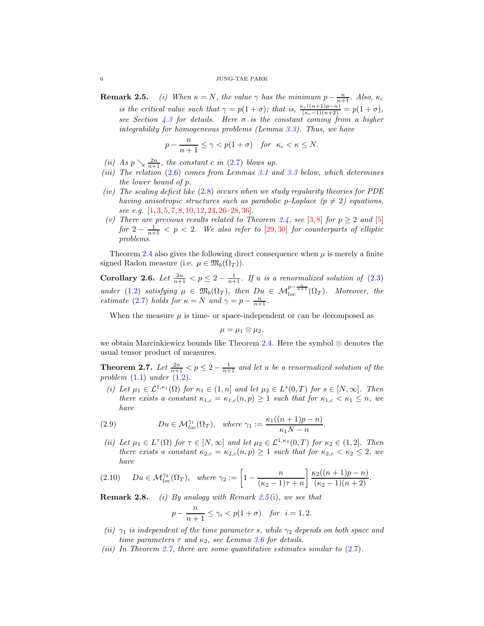#### <span id="page-5-0"></span> $6$   $$\tt JUNG-TAE~PARK$

**Remark 2.5.** *(i)* When  $\kappa = N$ , the value  $\gamma$  has the minimum  $p - \frac{n}{n+1}$ . Also,  $\kappa_c$ *is the critical value such that*  $\gamma = p(1 + \sigma)$ *; that is,*  $\frac{\kappa_c((n+1)p-n)}{(\kappa_c-1)(n+2)} = p(1 + \sigma)$ *, see Section [4.3](#page-14-0) for details. Here* σ *is the constant coming from a higher integrability for homogeneous problems (Lemma [3.3\)](#page-7-0). Thus, we have*

$$
p - \frac{n}{n+1} \le \gamma < p(1+\sigma) \quad \text{for} \quad \kappa_c < \kappa \le N.
$$

- *(ii)* As  $p \searrow \frac{2n}{n+1}$ , the constant c in [\(2.7\)](#page-4-2) blows up.
- *(iii) The relation* [\(2.6\)](#page-4-3) *comes from Lemmas [3.1](#page-6-1) and [3.3](#page-7-0) below, which determines the lower bound of* p*.*
- *(iv) The scaling deficit like* [\(2.8\)](#page-4-4) *occurs when we study regularity theories for PDE having anisotropic structures such as parabolic p-Laplace (* $p \neq 2$ *) equations, see e.g.* [\[1,](#page-16-3) [3,](#page-16-1) [5,](#page-16-0) [7,](#page-16-11) [8,](#page-16-2) [10,](#page-16-12) [12,](#page-16-8) [24,](#page-17-19) [26–](#page-17-4)[28,](#page-17-3) [36\]](#page-17-7)*.*
- *(v)* There are previous results related to Theorem [2.4,](#page-4-1) see [\[3,](#page-16-1)[8\]](#page-16-2) for  $p \geq 2$  and [\[5\]](#page-16-0)  $for\,\,2-\frac{1}{n+1} < p < 2$ . We also refer to  $[29, 30]$  $[29, 30]$  $[29, 30]$  *for counterparts of elliptic problems.*

Theorem [2.4](#page-4-1) also gives the following direct consequence when  $\mu$  is merely a finite signed Radon measure (i.e.  $\mu \in \mathfrak{M}_b(\Omega_T)$ ).

**Corollary 2.6.** Let  $\frac{2n}{n+1} < p \leq 2 - \frac{1}{n+1}$ . If u is a renormalized solution of [\(2.3\)](#page-3-1) *under* [\(1.2\)](#page-0-2) *satisfying*  $\mu \in \mathfrak{M}_b(\Omega_T)$ , then  $Du \in \mathcal{M}_{loc}^{p-\frac{n}{n+1}}(\Omega_T)$ . Moreover, the *estimate* [\(2.7\)](#page-4-2) *holds for*  $\kappa = N$  *and*  $\gamma = p - \frac{n}{n+1}$ *.* 

When the measure  $\mu$  is time- or space-independent or can be decomposed as

$$
\mu=\mu_1\otimes\mu_2,
$$

we obtain Marcinkiewicz bounds like Theorem [2.4.](#page-4-1) Here the symbol  $\otimes$  denotes the usual tensor product of measures.

<span id="page-5-1"></span>**Theorem 2.7.** Let  $\frac{2n}{n+1} < p \leq 2 - \frac{1}{n+1}$  and let u be a renormalized solution of the *problem* [\(1.1\)](#page-0-0) *under* [\(1.2\)](#page-0-2)*.*

<span id="page-5-4"></span>(*i*) Let  $\mu_1 \in \mathcal{L}^{1,\kappa_1}(\Omega)$  for  $\kappa_1 \in (1,n]$  and let  $\mu_2 \in L^s(0,T)$  for  $s \in [N,\infty]$ . Then *there exists a constant*  $\kappa_{1,c} = \kappa_{1,c}(n, p) \geq 1$  *such that for*  $\kappa_{1,c} < \kappa_1 \leq n$ , we *have*

(2.9) 
$$
Du \in \mathcal{M}_{loc}^{\gamma_1}(\Omega_T), \text{ where } \gamma_1 := \frac{\kappa_1((n+1)p - n)}{\kappa_1 N - n}.
$$

<span id="page-5-5"></span><span id="page-5-2"></span>(*ii*) Let  $\mu_1 \in L^{\tau}(\Omega)$  for  $\tau \in [N, \infty]$  and let  $\mu_2 \in L^{1,\kappa_2}(0,T)$  for  $\kappa_2 \in (1,2]$ . Then *there exists a constant*  $\kappa_{2,c} = \kappa_{2,c}(n, p) \ge 1$  *such that for*  $\kappa_{2,c} < \kappa_2 \le 2$ *, we have*

<span id="page-5-3"></span>
$$
(2.10) \quad Du \in \mathcal{M}_{loc}^{\gamma_2}(\Omega_T), \quad where \ \gamma_2 := \left[1 - \frac{n}{(\kappa_2 - 1)\tau + n}\right] \frac{\kappa_2((n+1)p - n)}{(\kappa_2 - 1)(n+2)}.
$$

Remark 2.8. *(i) By analogy with Remark 2.5* [\(i\)](#page-5-0)*, we see that*

$$
p - \frac{n}{n+1} \le \gamma_i < p(1+\sigma) \quad \text{for} \quad i = 1, 2.
$$

- *(ii)*  $\gamma_1$  *is independent of the time parameter s, while*  $\gamma_2$  *depends on both space and time parameters*  $\tau$  *and*  $\kappa_2$ *, see Lemma [3.6](#page-8-0) for details.*
- *(iii)* In Theorem [2.7,](#page-5-1) there are some quantitative estimates similar to  $(2.7)$ .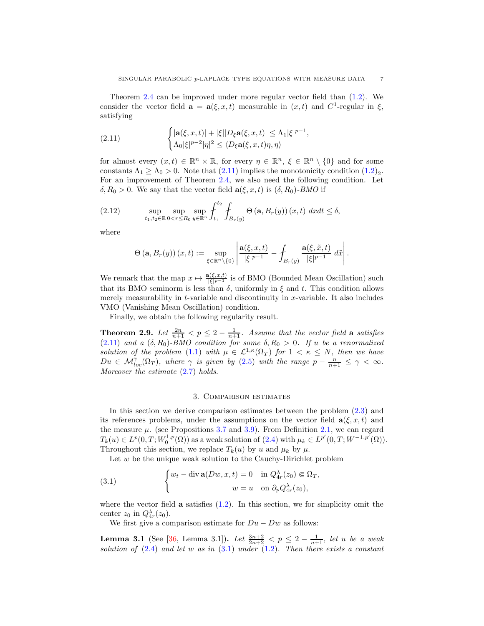Theorem [2.4](#page-4-1) can be improved under more regular vector field than [\(1.2\)](#page-0-2). We consider the vector field  $\mathbf{a} = \mathbf{a}(\xi, x, t)$  measurable in  $(x, t)$  and  $C^1$ -regular in  $\xi$ , satisfying

<span id="page-6-2"></span>(2.11) 
$$
\begin{cases} |\mathbf{a}(\xi, x, t)| + |\xi||D_{\xi}\mathbf{a}(\xi, x, t)| \leq \Lambda_1 |\xi|^{p-1}, \\ \Lambda_0 |\xi|^{p-2} |\eta|^2 \leq \langle D_{\xi}\mathbf{a}(\xi, x, t)\eta, \eta \rangle \end{cases}
$$

for almost every  $(x,t) \in \mathbb{R}^n \times \mathbb{R}$ , for every  $\eta \in \mathbb{R}^n$ ,  $\xi \in \mathbb{R}^n \setminus \{0\}$  and for some constants  $\Lambda_1 \geq \Lambda_0 > 0$ . Note that  $(2.11)$  implies the monotonicity condition  $(1.2)_2$ . For an improvement of Theorem [2.4,](#page-4-1) we also need the following condition. Let  $\delta, R_0 > 0$ . We say that the vector field  $a(\xi, x, t)$  is  $(\delta, R_0)$ *-BMO* if

(2.12) 
$$
\sup_{t_1,t_2\in\mathbb{R}}\sup_{0
$$

where

<span id="page-6-5"></span>
$$
\Theta\left(\mathbf{a},B_r(y)\right)(x,t) := \sup_{\xi \in \mathbb{R}^n \setminus \{0\}} \left| \frac{\mathbf{a}(\xi,x,t)}{|\xi|^{p-1}} - \int_{B_r(y)} \frac{\mathbf{a}(\xi,\tilde{x},t)}{|\xi|^{p-1}} d\tilde{x} \right|.
$$

We remark that the map  $x \mapsto \frac{\mathbf{a}(\xi, x, t)}{|\xi|^{p-1}}$  is of BMO (Bounded Mean Oscillation) such that its BMO seminorm is less than  $\delta$ , uniformly in  $\xi$  and  $t$ . This condition allows merely measurability in  $t$ -variable and discontinuity in  $x$ -variable. It also includes VMO (Vanishing Mean Oscillation) condition.

Finally, we obtain the following regularity result.

<span id="page-6-4"></span>**Theorem 2.9.** Let  $\frac{2n}{n+1} < p \leq 2 - \frac{1}{n+1}$ . Assume that the vector field a satisfies  $(2.11)$  *and a*  $(\delta, R_0)$ *-BMO condition for some*  $\delta, R_0 > 0$ *. If u be a renormalized solution of the problem* [\(1.1\)](#page-0-0) *with*  $\mu \in \mathcal{L}^{1,\kappa}(\Omega_T)$  *for*  $1 \lt \kappa \leq N$ *, then we have*  $Du \in \mathcal{M}_{loc}^{\gamma}(\Omega_T)$ , where  $\gamma$  *is given by* [\(2.5\)](#page-4-5) with the range  $p - \frac{n}{n+1} \leq \gamma < \infty$ . *Moreover the estimate* [\(2.7\)](#page-4-2) *holds.*

# 3. Comparison estimates

<span id="page-6-0"></span>In this section we derive comparison estimates between the problem [\(2.3\)](#page-3-1) and its references problems, under the assumptions on the vector field  $a(\xi, x, t)$  and the measure  $\mu$ . (see Propositions [3.7](#page-9-0) and [3.9\)](#page-10-1). From Definition [2.1,](#page-3-2) we can regard  $T_k(u) \in L^p(0,T;W_0^{1,p}(\Omega))$  as a weak solution of  $(2.4)$  with  $\mu_k \in L^{p'}(0,T;W^{-1,p'}(\Omega))$ . Throughout this section, we replace  $T_k(u)$  by u and  $\mu_k$  by  $\mu$ .

<span id="page-6-3"></span>Let w be the unique weak solution to the Cauchy-Dirichlet problem

(3.1) 
$$
\begin{cases} w_t - \operatorname{div} \mathbf{a}(Dw, x, t) = 0 & \text{in } Q_{4r}^{\lambda}(z_0) \in \Omega_T, \\ w = u & \text{on } \partial_p Q_{4r}^{\lambda}(z_0), \end{cases}
$$

where the vector field **a** satisfies  $(1.2)$ . In this section, we for simplicity omit the center  $z_0$  in  $Q_{4r}^{\lambda}(z_0)$ .

We first give a comparison estimate for  $Du - Dw$  as follows:

<span id="page-6-1"></span>**Lemma 3.1** (See [\[36,](#page-17-7) Lemma 3.1]). Let  $\frac{3n+2}{2n+2} < p \leq 2 - \frac{1}{n+1}$ , let u be a weak *solution of* [\(2.4\)](#page-3-3) *and let* w *as in* [\(3.1\)](#page-6-3) *under* [\(1.2\)](#page-0-2)*. Then there exists a constant*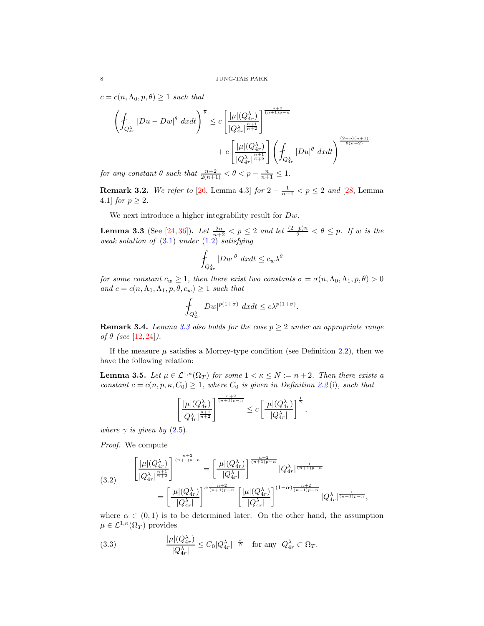$c = c(n, \Lambda_0, p, \theta) \geq 1$  *such that* 

$$
\left(\oint_{Q_{4r}^{\lambda}} |Du - Dw|^{\theta} dxdt\right)^{\frac{1}{\theta}} \leq c \left[\frac{|\mu|(Q_{4r}^{\lambda})}{|Q_{4r}^{\lambda}|^{\frac{n+1}{n+2}}}\right]^{\frac{n+2}{(n+1)p-n}} + c \left[\frac{|\mu|(Q_{4r}^{\lambda})}{|Q_{4r}^{\lambda}|^{\frac{n+1}{n+2}}}\right] \left(\oint_{Q_{4r}^{\lambda}} |Du|^{\theta} dxdt\right)^{\frac{(2-p)(n+1)}{\theta(n+2)}}
$$

*for any constant*  $\theta$  *such that*  $\frac{n+2}{2(n+1)} < \theta < p - \frac{n}{n+1} \leq 1$ *.* 

**Remark 3.2.** *We refer to* [\[26,](#page-17-4) Lemma 4.3] *for*  $2 - \frac{1}{n+1} < p \le 2$  *and* [\[28,](#page-17-3) Lemma 4.1] *for*  $p \geq 2$ *.* 

We next introduce a higher integrability result for  $Dw$ .

<span id="page-7-0"></span>**Lemma 3.3** (See [\[24,](#page-17-19) [36\]](#page-17-7)). Let  $\frac{2n}{n+2} < p \leq 2$  and let  $\frac{(2-p)n}{2} < \theta \leq p$ . If w is the *weak solution of* [\(3.1\)](#page-6-3) *under* [\(1.2\)](#page-0-2) *satisfying*

$$
\int_{Q_{4r}^\lambda} |Dw|^\theta \ dx dt \le c_w \lambda^\theta
$$

*for some constant*  $c_w \geq 1$ *, then there exist two constants*  $\sigma = \sigma(n, \Lambda_0, \Lambda_1, p, \theta) > 0$ *and*  $c = c(n, \Lambda_0, \Lambda_1, p, \theta, c_w) \geq 1$  *such that* 

$$
\int_{Q_{2r}^{\lambda}} |Dw|^{p(1+\sigma)} dx dt \le c\lambda^{p(1+\sigma)}.
$$

Remark 3.4. *Lemma [3.3](#page-7-0) also holds for the case* p ≥ 2 *under an appropriate range of* θ *(see* [\[12,](#page-16-8) [24\]](#page-17-19)*).*

If the measure  $\mu$  satisfies a Morrey-type condition (see Definition 2.2), then we have the following relation:

<span id="page-7-3"></span>**Lemma 3.5.** Let  $\mu \in \mathcal{L}^{1,\kappa}(\Omega_T)$  for some  $1 < \kappa \leq N := n+2$ . Then there exists a *constant*  $c = c(n, p, \kappa, C_0) \geq 1$ *, where*  $C_0$  *is given in Definition* 2.2[\(i\)](#page-4-6)*, such that* 

$$
\left[\frac{|\mu|(Q_{4r}^{\lambda})}{|Q_{4r}^{\lambda}|^{\frac{n+1}{n+2}}}\right]^{\frac{n+2}{(n+1)p-n}} \leq c \left[\frac{|\mu|(Q_{4r}^{\lambda})}{|Q_{4r}^{\lambda}|}\right]^{\frac{1}{\gamma}},
$$

*where*  $\gamma$  *is given by* [\(2.5\)](#page-4-5).

*Proof.* We compute

<span id="page-7-2"></span>(3.2) 
$$
\begin{aligned}\n\left[\frac{|\mu|(Q_{4r}^{\lambda})}{|Q_{4r}^{\lambda}|^{\frac{n+2}{n+2}}}\right]^{\frac{n+2}{(n+1)p-n}} &= \left[\frac{|\mu|(Q_{4r}^{\lambda})}{|Q_{4r}^{\lambda}|}\right]^{\frac{n+2}{(n+1)p-n}} |Q_{4r}^{\lambda}|^{\frac{1}{(n+1)p-n}} \\
&= \left[\frac{|\mu|(Q_{4r}^{\lambda})}{|Q_{4r}^{\lambda}|}\right]^{\alpha \frac{n+2}{(n+1)p-n}} \left[\frac{|\mu|(Q_{4r}^{\lambda})}{|Q_{4r}^{\lambda}|}\right]^{(1-\alpha)\frac{n+2}{(n+1)p-n}} |Q_{4r}^{\lambda}|^{\frac{1}{(n+1)p-n}},\n\end{aligned}
$$

where  $\alpha \in (0,1)$  is to be determined later. On the other hand, the assumption  $\mu \in \mathcal{L}^{1,\kappa}(\Omega_T)$  provides

<span id="page-7-1"></span>(3.3) 
$$
\frac{|\mu|(Q_{4r}^{\lambda})}{|Q_{4r}^{\lambda}|} \leq C_0 |Q_{4r}^{\lambda}|^{-\frac{\kappa}{N}} \text{ for any } Q_{4r}^{\lambda} \subset \Omega_T.
$$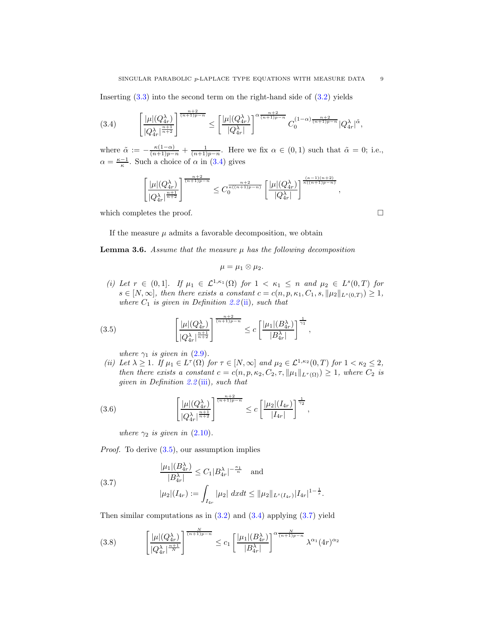Inserting  $(3.3)$  into the second term on the right-hand side of  $(3.2)$  yields

<span id="page-8-1"></span>
$$
(3.4) \qquad \left[\frac{|\mu|(Q_{4r}^{\lambda})}{|Q_{4r}^{\lambda}|^{\frac{n+1}{n+2}}}\right]^{\frac{n+2}{(n+1)p-n}} \leq \left[\frac{|\mu|(Q_{4r}^{\lambda})}{|Q_{4r}^{\lambda}|}\right]^{\alpha \frac{n+2}{(n+1)p-n}} C_0^{(1-\alpha)\frac{n+2}{(n+1)p-n}} |Q_{4r}^{\lambda}|^{\tilde{\alpha}},
$$

where  $\tilde{\alpha} := -\frac{\kappa(1-\alpha)}{(n+1)p-n} + \frac{1}{(n+1)p-n}$ . Here we fix  $\alpha \in (0,1)$  such that  $\tilde{\alpha} = 0$ ; i.e.,  $\alpha = \frac{\kappa - 1}{\kappa}$ . Such a choice of  $\alpha$  in [\(3.4\)](#page-8-1) gives

$$
\left[\frac{|\mu|(Q_{4r}^{\lambda})}{|Q_{4r}^{\lambda}|^{\frac{n+1}{n+2}}}\right]^{\frac{n+2}{(n+1)p-n}} \leq C_0^{\frac{n+2}{\kappa((n+1)p-n)}} \left[\frac{|\mu|(Q_{4r}^{\lambda})}{|Q_{4r}^{\lambda}|}\right]^{\frac{(\kappa-1)(n+2)}{\kappa((n+1)p-n)}},
$$

which completes the proof.  $\Box$ 

If the measure  $\mu$  admits a favorable decomposition, we obtain

<span id="page-8-0"></span>Lemma 3.6. *Assume that the measure* µ *has the following decomposition*

$$
\mu=\mu_1\otimes\mu_2.
$$

*(i)* Let  $r \in (0,1]$ . If  $\mu_1 \in \mathcal{L}^{1,\kappa_1}(\Omega)$  for  $1 \leq \kappa_1 \leq n$  and  $\mu_2 \in L^s(0,T)$  for  $s \in [N, \infty]$ , then there exists a constant  $c = c(n, p, \kappa_1, C_1, s, ||\mu_2||_{L^s(0,T)}) \geq 1$ , *where*  $C_1$  *is given in Definition* 2.2[\(ii\)](#page-4-7), such that

(3.5) 
$$
\left[\frac{|\mu|(Q^{\lambda}_{4r})}{|Q^{\lambda}_{4r}|^{\frac{n+1}{n+2}}}\right]^{\frac{n+2}{(n+1)p-n}} \leq c \left[\frac{|\mu_1|(B^{\lambda}_{4r})}{|B^{\lambda}_{4r}|}\right]^{\frac{1}{\gamma_1}},
$$

<span id="page-8-2"></span>*where*  $\gamma_1$  *is given in* [\(2.9\)](#page-5-2).

(*ii*) Let  $\lambda \geq 1$ *. If*  $\mu_1 \in L^{\tau}(\Omega)$  *for*  $\tau \in [N, \infty]$  *and*  $\mu_2 \in L^{1,\kappa_2}(0,T)$  *for*  $1 < \kappa_2 \leq 2$ *, then there exists a constant*  $c = c(n, p, \kappa_2, C_2, \tau, ||\mu_1||_{L^{\tau}(\Omega)}) \geq 1$ *, where*  $C_2$  *is given in Definition 2.2* [\(iii\)](#page-4-8)*, such that*

(3.6) 
$$
\left[\frac{|\mu|(Q_{4r}^{\lambda})}{|Q_{4r}^{\lambda}|^{\frac{n+1}{n+2}}}\right]^{\frac{n+2}{(n+1)p-n}} \leq c \left[\frac{|\mu_2|(I_{4r})}{|I_{4r}|}\right]^{\frac{1}{\gamma_2}},
$$

<span id="page-8-4"></span>*where*  $\gamma_2$  *is given in* [\(2.10\)](#page-5-3)*.* 

*Proof.* To derive  $(3.5)$ , our assumption implies

<span id="page-8-3"></span>(3.7) 
$$
\frac{|\mu_1|(B_{4r}^{\lambda})}{|B_{4r}^{\lambda}|} \le C_1 |B_{4r}^{\lambda}|^{-\frac{\kappa_1}{n}} \text{ and}
$$

$$
|\mu_2|(I_{4r}) := \int_{I_{4r}} |\mu_2| \ dx dt \le ||\mu_2||_{L^s(I_{4r})} |I_{4r}|^{1-\frac{1}{s}}.
$$

Then similar computations as in  $(3.2)$  and  $(3.4)$  applying  $(3.7)$  yield

<span id="page-8-5"></span>
$$
(3.8)\qquad \left[\frac{|\mu|(Q_{4r}^{\lambda})}{|Q_{4r}^{\lambda}|^{\frac{n+1}{N}}}\right]^{\frac{N}{(n+1)p-n}} \le c_1 \left[\frac{|\mu_1|(B_{4r}^{\lambda})}{|B_{4r}^{\lambda}|}\right]^{\alpha \frac{N}{(n+1)p-n}} \lambda^{\alpha_1} (4r)^{\alpha_2}
$$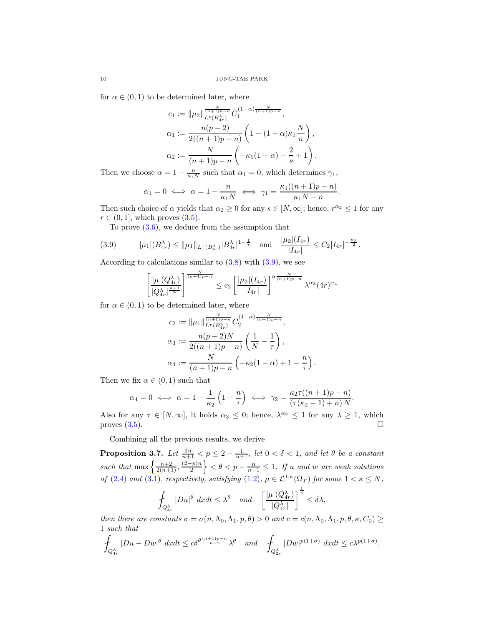for  $\alpha \in (0,1)$  to be determined later, where

$$
c_1 := \|\mu_2\|_{L^s(B_{4r}^{\lambda})}^{\frac{N}{(n+1)p-n}} C_1^{(1-\alpha)\frac{N}{(n+1)p-n}},
$$
  
\n
$$
\alpha_1 := \frac{n(p-2)}{2((n+1)p-n)} \left(1 - (1-\alpha)\kappa_1 \frac{N}{n}\right),
$$
  
\n
$$
\alpha_2 := \frac{N}{(n+1)p-n} \left(-\kappa_1(1-\alpha) - \frac{2}{s} + 1\right).
$$

Then we choose  $\alpha = 1 - \frac{n}{\kappa_1 N}$  such that  $\alpha_1 = 0$ , which determines  $\gamma_1$ ,

$$
\alpha_1 = 0 \iff \alpha = 1 - \frac{n}{\kappa_1 N} \iff \gamma_1 = \frac{\kappa_1((n+1)p - n)}{\kappa_1 N - n}.
$$

Then such choice of  $\alpha$  yields that  $\alpha_2 \geq 0$  for any  $s \in [N, \infty]$ ; hence,  $r^{\alpha_2} \leq 1$  for any  $r \in (0, 1]$ , which proves  $(3.5)$ .

To prove [\(3.6\)](#page-8-4), we deduce from the assumption that

$$
(3.9) \t |\mu_1|(B_{4r}^{\lambda}) \leq ||\mu_1||_{L^{\tau}(B_{4r}^{\lambda})}|B_{4r}^{\lambda}|^{1-\frac{1}{\tau}} \text{ and } \frac{|\mu_2|(I_{4r})}{|I_{4r}|} \leq C_2|I_{4r}|^{-\frac{\kappa_2}{2}}.
$$

According to calculations similar to  $(3.8)$  with  $(3.9)$ , we see

<span id="page-9-1"></span>
$$
\left[\frac{|\mu|(Q_{4r}^{\lambda})}{|Q_{4r}^{\lambda}|^{\frac{n+1}{N}}}\right]^{\frac{N}{(n+1)p-n}} \leq c_2 \left[\frac{|\mu_2|(I_{4r})}{|I_{4r}|}\right]^{\alpha \frac{N}{(n+1)p-n}} \lambda^{\alpha_3} (4r)^{\alpha_4}
$$

for  $\alpha \in (0,1)$  to be determined later, where

$$
c_2 := \|\mu_1\|_{L^{\tau}(B_{4r}^{\lambda})}^{\frac{N}{(n+1)p-n}} C_2^{(1-\alpha)\frac{N}{(n+1)p-n}},
$$
  
\n
$$
\alpha_3 := \frac{n(p-2)N}{2((n+1)p-n)} \left(\frac{1}{N} - \frac{1}{\tau}\right),
$$
  
\n
$$
\alpha_4 := \frac{N}{(n+1)p-n} \left(-\kappa_2(1-\alpha) + 1 - \frac{n}{\tau}\right).
$$

Then we fix  $\alpha \in (0,1)$  such that

$$
\alpha_4 = 0 \iff \alpha = 1 - \frac{1}{\kappa_2} \left( 1 - \frac{n}{\tau} \right) \iff \gamma_2 = \frac{\kappa_2 \tau ((n+1)p - n)}{(\tau (\kappa_2 - 1) + n) N}.
$$

Also for any  $\tau \in [N, \infty]$ , it holds  $\alpha_3 \leq 0$ ; hence,  $\lambda^{\alpha_3} \leq 1$  for any  $\lambda \geq 1$ , which proves  $(3.5)$ .

Combining all the previous results, we derive

<span id="page-9-0"></span>**Proposition 3.7.** Let  $\frac{2n}{n+1} < p \leq 2 - \frac{1}{n+1}$ , let  $0 < \delta < 1$ , and let  $\theta$  be a constant *such that* max  $\left\{\frac{n+2}{2(n+1)}, \frac{(2-p)n}{2}\right\}$  $\left\{\frac{-p}{2}\right\} < \theta < p - \frac{n}{n+1} \leq 1$ . If *u* and *w* are weak solutions *of* [\(2.4\)](#page-3-3) *and* [\(3.1\)](#page-6-3)*, respectively, satisfying* [\(1.2\)](#page-0-2)*,*  $\mu \in \mathcal{L}^{1,\kappa}(\Omega_T)$  *for some*  $1 < \kappa \leq N$ *,* 

$$
\int_{Q_{4r}^{\lambda}} |Du|^{\theta} dx dt \leq \lambda^{\theta} \quad and \quad \left[\frac{|\mu|(Q_{4r}^{\lambda})}{|Q_{4r}^{\lambda}|}\right]^{\frac{1}{\gamma}} \leq \delta \lambda,
$$

*then there are constants*  $\sigma = \sigma(n, \Lambda_0, \Lambda_1, p, \theta) > 0$  *and*  $c = c(n, \Lambda_0, \Lambda_1, p, \theta, \kappa, C_0) \ge$ 1 *such that*

$$
\oint_{Q_{4r}^{\lambda}} |Du - Dw|^{\theta} dx dt \leq c\delta^{\theta \frac{(n+1)p - n}{n+2}} \lambda^{\theta} \quad and \quad \oint_{Q_{2r}^{\lambda}} |Dw|^{p(1+\sigma)} dx dt \leq c\lambda^{p(1+\sigma)}.
$$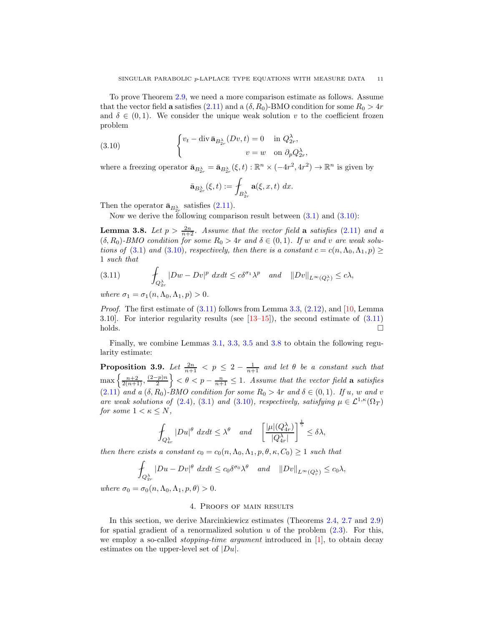To prove Theorem [2.9,](#page-6-4) we need a more comparison estimate as follows. Assume that the vector field a satisfies [\(2.11\)](#page-6-2) and a  $(\delta, R_0)$ -BMO condition for some  $R_0 > 4r$ and  $\delta \in (0,1)$ . We consider the unique weak solution v to the coefficient frozen problem

(3.10) 
$$
\begin{cases} v_t - \operatorname{div} \bar{\mathbf{a}}_{B_{2r}^{\lambda}}(Dv, t) = 0 & \text{in } Q_{2r}^{\lambda}, \\ v = w & \text{on } \partial_p Q_{2r}^{\lambda} \end{cases}
$$

where a freezing operator  $\bar{\mathbf{a}}_{B_{2r}^{\lambda}} = \bar{\mathbf{a}}_{B_{2r}^{\lambda}}(\xi, t) : \mathbb{R}^n \times (-4r^2, 4r^2) \to \mathbb{R}^n$  is given by

<span id="page-10-2"></span>
$$
\bar{\mathbf{a}}_{B_{2r}^{\lambda}}(\xi,t) := \int_{B_{2r}^{\lambda}} \mathbf{a}(\xi,x,t) \; dx.
$$

,

Then the operator  $\bar{\mathbf{a}}_{B_{2r}^{\lambda}}$  satisfies [\(2.11\)](#page-6-2).

Now we derive the following comparison result between  $(3.1)$  and  $(3.10)$ :

<span id="page-10-4"></span>**Lemma 3.8.** Let  $p > \frac{2n}{n+2}$ . Assume that the vector field **a** satisfies [\(2.11\)](#page-6-2) and a  $(\delta, R_0)$ -BMO condition for some  $R_0 > 4r$  and  $\delta \in (0,1)$ . If w and v are weak solu*tions of* [\(3.1\)](#page-6-3) *and* [\(3.10\)](#page-10-2)*, respectively, then there is a constant*  $c = c(n, \Lambda_0, \Lambda_1, p) \ge$ 1 *such that*

<span id="page-10-3"></span>
$$
(3.11) \qquad \qquad \int_{Q_{2r}^{\lambda}} |Dw - Dv|^p \ dx dt \leq c\delta^{\sigma_1} \lambda^p \quad \text{and} \quad ||Dv||_{L^{\infty}(Q_r^{\lambda})} \leq c\lambda,
$$

*where*  $\sigma_1 = \sigma_1(n, \Lambda_0, \Lambda_1, p) > 0$ .

*Proof.* The first estimate of [\(3.11\)](#page-10-3) follows from Lemma [3.3,](#page-7-0) [\(2.12\)](#page-6-5), and [\[10,](#page-16-12) Lemma 3.10]. For interior regularity results (see [\[13](#page-16-9)[–15\]](#page-16-13)), the second estimate of [\(3.11\)](#page-10-3)  $\Box$ holds.

Finally, we combine Lemmas [3.1,](#page-6-1) [3.3,](#page-7-0) [3.5](#page-7-3) and [3.8](#page-10-4) to obtain the following regularity estimate:

<span id="page-10-1"></span>**Proposition 3.9.** Let  $\frac{2n}{n+1} < p \leq 2 - \frac{1}{n+1}$  and let  $\theta$  be a constant such that  $\max\left\{\frac{n+2}{2(n+1)}, \frac{(2-p)n}{2}\right\}$  $\left\{\frac{-p}{2}\right\} < \theta < p - \frac{n}{n+1} \leq 1$ . Assume that the vector field **a** satisfies  $(2.11)$  *and a*  $(\delta, R_0)$ *-BMO condition for some*  $R_0 > 4r$  *and*  $\delta \in (0,1)$ *. If u*, *w and v are weak solutions of* [\(2.4\)](#page-3-3), [\(3.1\)](#page-6-3) *and* [\(3.10\)](#page-10-2)*, respectively, satisfying*  $\mu \in \mathcal{L}^{1,\kappa}(\Omega_T)$ *for some*  $1 < \kappa \leq N$ *,* 

$$
\int_{Q_{4r}^\lambda} |Du|^\theta \ dx dt \le \lambda^\theta \quad \text{and} \quad \left[ \frac{|\mu|(Q_{4r}^\lambda)}{|Q_{4r}^\lambda|} \right]^{\frac{1}{\gamma}} \le \delta \lambda,
$$

*then there exists a constant*  $c_0 = c_0(n, \Lambda_0, \Lambda_1, p, \theta, \kappa, C_0) \geq 1$  *such that* 

$$
\int_{Q_{2r}^{\lambda}} |Du - Dv|^{\theta} dx dt \le c_0 \delta^{\sigma_0} \lambda^{\theta} \quad and \quad ||Dv||_{L^{\infty}(Q_{r}^{\lambda})} \le c_0 \lambda,
$$

<span id="page-10-0"></span>*where*  $\sigma_0 = \sigma_0(n, \Lambda_0, \Lambda_1, p, \theta) > 0$ .

## 4. Proofs of main results

In this section, we derive Marcinkiewicz estimates (Theorems [2.4,](#page-4-1) [2.7](#page-5-1) and [2.9\)](#page-6-4) for spatial gradient of a renormalized solution  $u$  of the problem  $(2.3)$ . For this, we employ a so-called *stopping-time argument* introduced in [\[1\]](#page-16-3), to obtain decay estimates on the upper-level set of  $|Du|$ .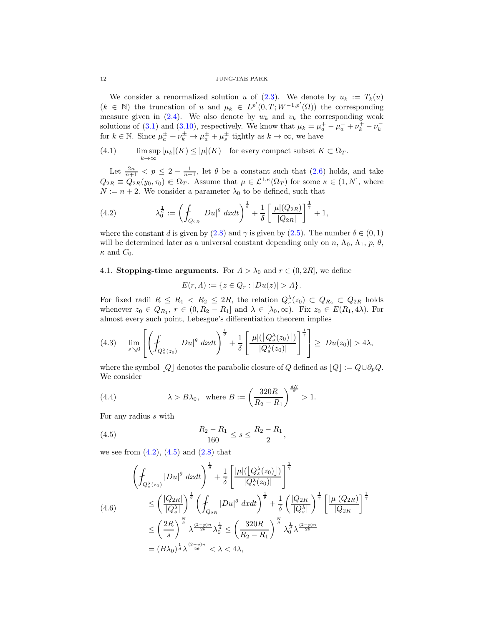# 12 JUNG-TAE PARK

We consider a renormalized solution u of  $(2.3)$ . We denote by  $u_k := T_k(u)$  $(k ∈ ℕ)$  the truncation of u and  $\mu_k ∈ L^{p'}(0,T;W^{-1,p'}(Ω))$  the corresponding measure given in [\(2.4\)](#page-3-3). We also denote by  $w_k$  and  $v_k$  the corresponding weak solutions of [\(3.1\)](#page-6-3) and [\(3.10\)](#page-10-2), respectively. We know that  $\mu_k = \mu_a^+ - \mu_a^- + \nu_k^+ - \nu_k^$ for  $k \in \mathbb{N}$ . Since  $\mu_a^{\pm} + \nu_k^{\pm} \to \mu_a^{\pm} + \mu_s^{\pm}$  tightly as  $k \to \infty$ , we have

<span id="page-11-4"></span>(4.1) 
$$
\limsup_{k \to \infty} |\mu_k|(K) \le |\mu|(K) \text{ for every compact subset } K \subset \Omega_T.
$$

Let  $\frac{2n}{n+1} < p \leq 2 - \frac{1}{n+1}$ , let  $\theta$  be a constant such that  $(2.6)$  holds, and take  $Q_{2R} \equiv Q_{2R}(y_0, \tau_0) \in \Omega_T$ . Assume that  $\mu \in \mathcal{L}^{1,\kappa}(\Omega_T)$  for some  $\kappa \in (1,N]$ , where  $N := n + 2$ . We consider a parameter  $\lambda_0$  to be defined, such that

<span id="page-11-0"></span>(4.2) 
$$
\lambda_0^{\frac{1}{d}} := \left( \int_{Q_{2R}} |Du|^{\theta} \, dxdt \right)^{\frac{1}{\theta}} + \frac{1}{\delta} \left[ \frac{|\mu|(Q_{2R})}{|Q_{2R}|} \right]^{\frac{1}{\gamma}} + 1,
$$

where the constant d is given by [\(2.8\)](#page-4-4) and  $\gamma$  is given by [\(2.5\)](#page-4-5). The number  $\delta \in (0,1)$ will be determined later as a universal constant depending only on n,  $\Lambda_0$ ,  $\Lambda_1$ , p,  $\theta$ ,  $\kappa$  and  $C_0$ .

# <span id="page-11-6"></span>4.1. Stopping-time arguments. For  $\Lambda > \lambda_0$  and  $r \in (0, 2R]$ , we define

$$
E(r, \Lambda) := \{ z \in Q_r : |Du(z)| > \Lambda \}.
$$

For fixed radii  $R \leq R_1 < R_2 \leq 2R$ , the relation  $Q_r^{\lambda}(z_0) \subset Q_{R_2} \subset Q_{2R}$  holds whenever  $z_0 \in Q_{R_1}, r \in (0, R_2 - R_1]$  and  $\lambda \in [\lambda_0, \infty)$ . Fix  $z_0 \in E(R_1, 4\lambda)$ . For almost every such point, Lebesgue's differentiation theorem implies

<span id="page-11-2"></span>
$$
(4.3)\quad \lim_{s\searrow 0}\left[\left(\oint_{Q_s^\lambda(z_0)}|Du|^\theta\ dxdt\right)^{\frac{1}{\theta}}+\frac{1}{\delta}\left[\frac{|\mu|\big(\big[Q_s^\lambda(z_0)\big]\big)}{|Q_s^\lambda(z_0)|}\right]^{\frac{1}{\gamma}}\right]\geq |Du(z_0)|>4\lambda,
$$

where the symbol  $\lfloor Q \rfloor$  denotes the parabolic closure of Q defined as  $\lfloor Q \rfloor := Q \cup \partial_p Q$ . We consider

<span id="page-11-5"></span>(4.4) 
$$
\lambda > B\lambda_0, \text{ where } B := \left(\frac{320R}{R_2 - R_1}\right)^{\frac{dN}{\theta}} > 1.
$$

For any radius s with

<span id="page-11-1"></span>(4.5) 
$$
\frac{R_2 - R_1}{160} \le s \le \frac{R_2 - R_1}{2},
$$

we see from  $(4.2)$ ,  $(4.5)$  and  $(2.8)$  that

<span id="page-11-3"></span>
$$
\begin{split}\n\left(\int_{Q_{s}^{\lambda}(z_{0})} |Du|^{\theta} dxdt\right)^{\frac{1}{\theta}} &+ \frac{1}{\delta} \left[\frac{|\mu|(\left[Q_{s}^{\lambda}(z_{0})\right])}{|Q_{s}^{\lambda}(z_{0})|}\right]^{\frac{1}{\gamma}} \\
&\leq \left(\frac{|Q_{2R}|}{|Q_{s}^{\lambda}|}\right)^{\frac{1}{\theta}} \left(\int_{Q_{2R}} |Du|^{\theta} dxdt\right)^{\frac{1}{\theta}} + \frac{1}{\delta} \left(\frac{|Q_{2R}|}{|Q_{s}^{\lambda}|}\right)^{\frac{1}{\gamma}} \left[\frac{|\mu|(Q_{2R})}{|Q_{2R}|}\right]^{\frac{1}{\gamma}} \\
&\leq \left(\frac{2R}{s}\right)^{\frac{N}{\theta}} \lambda^{\frac{(2-p)n}{2\theta}} \lambda_{0}^{\frac{1}{\theta}} \leq \left(\frac{320R}{R_{2}-R_{1}}\right)^{\frac{N}{\theta}} \lambda_{0}^{\frac{1}{\theta}} \lambda^{\frac{(2-p)n}{2\theta}} \\
&= (B\lambda_{0})^{\frac{1}{d}} \lambda^{\frac{(2-p)n}{2\theta}} < \lambda < 4\lambda,\n\end{split}
$$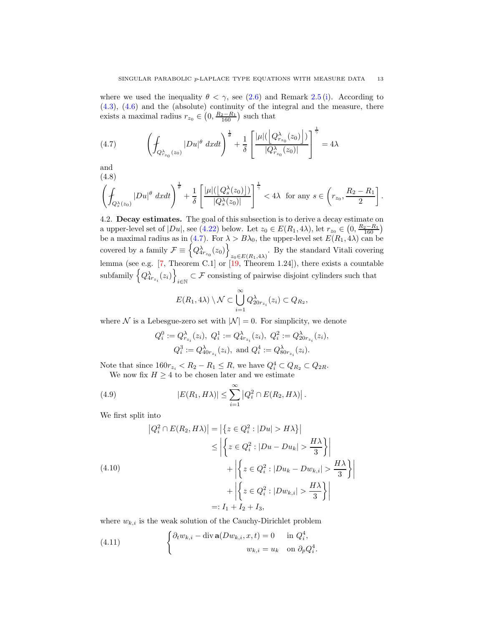where we used the inequality  $\theta < \gamma$ , see [\(2.6\)](#page-4-3) and Remark 2.5 [\(i\)](#page-5-0). According to [\(4.3\)](#page-11-2), [\(4.6\)](#page-11-3) and the (absolute) continuity of the integral and the measure, there exists a maximal radius  $r_{z_0} \in \left(0, \frac{R_2 - R_1}{160}\right)$  such that

<span id="page-12-1"></span>
$$
(4.7)\qquad \qquad \left(\int_{Q^{\lambda}_{r_{z_0}}(z_0)}|Du|^{\theta}\ dxdt\right)^{\frac{1}{\theta}}+\frac{1}{\delta}\left[\frac{|\mu|(\left\lfloor Q^{\lambda}_{r_{z_0}}(z_0)\right\rfloor)}{|Q^{\lambda}_{r_{z_0}}(z_0)|}\right]^{\frac{1}{\gamma}}=4\lambda
$$

and (4.8)

<span id="page-12-2"></span>
$$
\left(\oint_{Q_{\delta}^{\lambda}(z_0)} |Du|^{\theta} dxdt\right)^{\frac{1}{\theta}} + \frac{1}{\delta} \left[\frac{|\mu|(\left[Q_{\delta}^{\lambda}(z_0)\right])}{|Q_{\delta}^{\lambda}(z_0)|}\right]^{\frac{1}{\gamma}} < 4\lambda \text{ for any } s \in \left(r_{z_0}, \frac{R_2 - R_1}{2}\right].
$$

<span id="page-12-0"></span>4.2. Decay estimates. The goal of this subsection is to derive a decay estimate on a upper-level set of  $|Du|$ , see [\(4.22\)](#page-14-1) below. Let  $z_0 \in E(R_1, 4\lambda)$ , let  $r_{z_0} \in (0, \frac{R_2 - R_1}{160})$ be a maximal radius as in [\(4.7\)](#page-12-1). For  $\lambda > B\lambda_0$ , the upper-level set  $E(R_1, 4\lambda)$  can be covered by a family  $\mathcal{F} \equiv \left\{ Q_{4r_{z_0}}^{\lambda}(z_0) \right\}$ . By the standard Vitali covering  $z_0 \in E(R_1, 4\lambda)$ . lemma (see e.g. [\[7,](#page-16-11) Theorem C.1] or [\[19,](#page-17-22) Theorem 1.24]), there exists a countable subfamily  $\left\{ Q_{4r_{z_{i}} }^{\lambda}(z_{i})\right\}$  $\subseteq$  F consisting of pairwise disjoint cylinders such that

$$
E(R_1, 4\lambda) \setminus \mathcal{N} \subset \bigcup_{i=1}^{\infty} Q_{20r_{z_i}}^{\lambda}(z_i) \subset Q_{R_2},
$$

where  $\mathcal N$  is a Lebesgue-zero set with  $|\mathcal N|=0$ . For simplicity, we denote

<span id="page-12-4"></span>
$$
Q_i^0 := Q_{r_{z_i}}^{\lambda}(z_i), \ Q_i^1 := Q_{4r_{z_i}}^{\lambda}(z_i), \ Q_i^2 := Q_{20r_{z_i}}^{\lambda}(z_i),
$$
  

$$
Q_i^3 := Q_{40r_{z_i}}^{\lambda}(z_i), \text{ and } Q_i^4 := Q_{80r_{z_i}}^{\lambda}(z_i).
$$

Note that since  $160r_{z_i} < R_2 - R_1 \leq R$ , we have  $Q_i^4 \subset Q_{R_2} \subset Q_{2R}$ . We now fix  $H \geq 4$  to be chosen later and we estimate

(4.9) 
$$
|E(R_1, H\lambda)| \leq \sum_{i=1}^{\infty} |Q_i^2 \cap E(R_2, H\lambda)|.
$$

We first split into

<span id="page-12-3"></span>
$$
|Q_i^2 \cap E(R_2, H\lambda)| = |\{z \in Q_i^2 : |Du| > H\lambda\}|
$$
  
\n
$$
\leq |\{z \in Q_i^2 : |Du - Du_k| > \frac{H\lambda}{3}\}|
$$
  
\n
$$
+ |\{z \in Q_i^2 : |Du_k - Dw_{k,i}| > \frac{H\lambda}{3}\}|
$$
  
\n
$$
+ |\{z \in Q_i^2 : |Dw_{k,i}| > \frac{H\lambda}{3}\}|
$$
  
\n
$$
=: I_1 + I_2 + I_3,
$$

where  $w_{k,i}$  is the weak solution of the Cauchy-Dirichlet problem

<span id="page-12-5"></span>(4.11) 
$$
\begin{cases} \partial_t w_{k,i} - \operatorname{div} \mathbf{a}(Dw_{k,i}, x, t) = 0 & \text{in } Q_i^4, \\ w_{k,i} = u_k & \text{on } \partial_p Q_i^4. \end{cases}
$$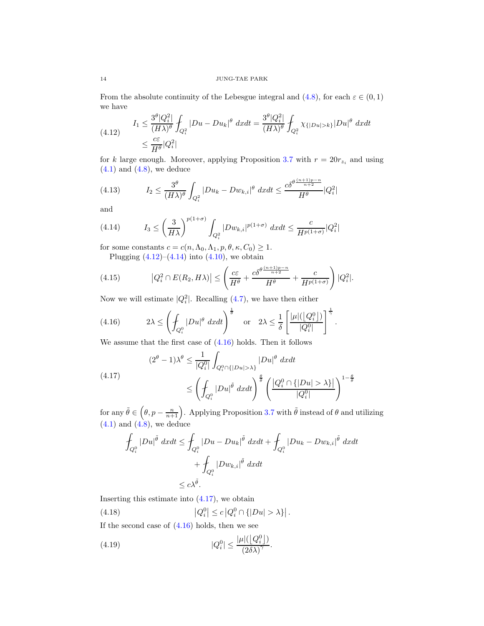From the absolute continuity of the Lebesgue integral and  $(4.8)$ , for each  $\varepsilon \in (0,1)$ we have

<span id="page-13-0"></span>(4.12) 
$$
I_1 \leq \frac{3^{\theta} |Q_i^2|}{(H\lambda)^{\theta}} \int_{Q_i^2} |Du - Du_k|^{\theta} dx dt = \frac{3^{\theta} |Q_i^2|}{(H\lambda)^{\theta}} \int_{Q_i^2} \chi_{\{|Du| > k\}} |Du|^{\theta} dx dt
$$
  

$$
\leq \frac{c\varepsilon}{H^{\theta}} |Q_i^2|
$$

for k large enough. Moreover, applying Proposition [3.7](#page-9-0) with  $r = 20r_{z_i}$  and using  $(4.1)$  and  $(4.8)$ , we deduce

(4.13) 
$$
I_2 \leq \frac{3^{\theta}}{(H\lambda)^{\theta}} \int_{Q_i^2} |Du_k - Dw_{k,i}|^{\theta} dx dt \leq \frac{c\delta^{\theta \frac{(n+1)p - n}{n+2}}}{H^{\theta}} |Q_i^2|
$$

and

<span id="page-13-1"></span>(4.14) 
$$
I_3 \le \left(\frac{3}{H\lambda}\right)^{p(1+\sigma)} \int_{Q_i^2} |Dw_{k,i}|^{p(1+\sigma)} dx dt \le \frac{c}{H^{p(1+\sigma)}} |Q_i^2|
$$

for some constants  $c = c(n, \Lambda_0, \Lambda_1, p, \theta, \kappa, C_0) \geq 1$ . Plugging  $(4.12)$ – $(4.14)$  into  $(4.10)$ , we obtain

<span id="page-13-6"></span>(4.15) 
$$
\left|Q_i^2 \cap E(R_2, H\lambda)\right| \leq \left(\frac{c\varepsilon}{H^{\theta}} + \frac{c\delta^{\theta \frac{(n+1)p - n}{n+2}}}{H^{\theta}} + \frac{c}{H^{p(1+\sigma)}}\right) |Q_i^2|.
$$

Now we will estimate  $|Q_i^2|$ . Recalling [\(4.7\)](#page-12-1), we have then either

<span id="page-13-2"></span>(4.16) 
$$
2\lambda \le \left(\frac{1}{\log_i} |Du|^{\theta} \, dxdt\right)^{\frac{1}{\theta}} \quad \text{or} \quad 2\lambda \le \frac{1}{\delta} \left[\frac{|\mu|(\lfloor Q_i^0 \rfloor)}{|Q_i^0|}\right]^{\frac{1}{\gamma}}
$$

We assume that the first case of [\(4.16\)](#page-13-2) holds. Then it follows

<span id="page-13-3"></span>
$$
(2^{\theta} - 1)\lambda^{\theta} \le \frac{1}{|Q_i^0|} \int_{Q_i^0 \cap \{|Du| > \lambda\}} |Du|^{\theta} dx dt
$$
  

$$
\le \left(\int_{Q_i^0} |Du|^{\tilde{\theta}} dx dt\right)^{\frac{\theta}{\theta}} \left(\frac{|Q_i^0 \cap \{|Du| > \lambda\}|}{|Q_i^0|}\right)^{1-\frac{\theta}{\theta}}
$$

for any  $\tilde{\theta} \in (\theta, p - \frac{n}{n+1})$ . Applying Proposition [3.7](#page-9-0) with  $\tilde{\theta}$  instead of  $\theta$  and utilizing  $(4.1)$  and  $(4.8)$ , we deduce

.

$$
\oint_{Q_i^0} |Du|^{\tilde{\theta}} dx dt \le \oint_{Q_i^0} |Du - Du_k|^{\tilde{\theta}} dx dt + \oint_{Q_i^0} |Du_k - Dw_{k,i}|^{\tilde{\theta}} dx dt
$$
  
+ 
$$
\oint_{Q_i^0} |Dw_{k,i}|^{\tilde{\theta}} dx dt
$$
  

$$
\le c\lambda^{\tilde{\theta}}.
$$

Inserting this estimate into [\(4.17\)](#page-13-3), we obtain

<span id="page-13-4"></span>(4.18)  $|Q_i^0| \le c |Q_i^0 \cap \{|Du| > \lambda\}$ .

If the second case of  $(4.16)$  holds, then we see

<span id="page-13-5"></span>
$$
(4.19) \t |Q_i^0| \le \frac{|\mu|(\lfloor Q_i^0 \rfloor)}{(2\delta\lambda)^\gamma}.
$$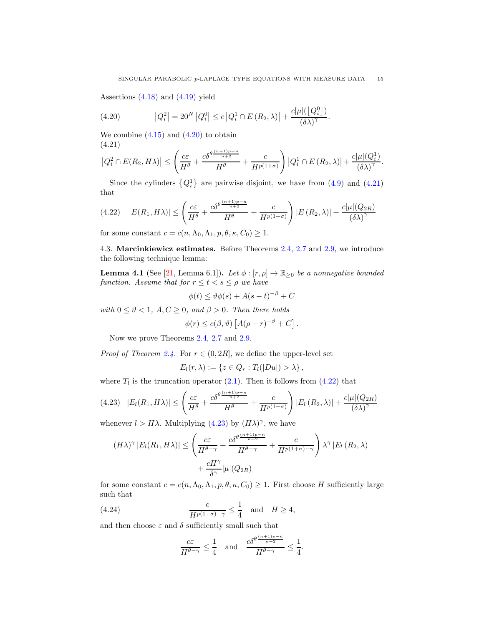Assertions [\(4.18\)](#page-13-4) and [\(4.19\)](#page-13-5) yield

<span id="page-14-2"></span>(4.20) 
$$
|Q_i^2| = 20^N |Q_i^0| \le c |Q_i^1 \cap E(R_2, \lambda)| + \frac{c|\mu|(\lfloor Q_i^0 \rfloor)}{(\delta \lambda)^\gamma}.
$$

We combine  $(4.15)$  and  $(4.20)$  to obtain (4.21)  $(n+1)$ 

<span id="page-14-3"></span>
$$
\left|Q_i^2 \cap E(R_2, H\lambda)\right| \leq \left(\frac{c\varepsilon}{H^{\theta}} + \frac{c\delta^{\theta \frac{(n+1)p-n}{n+2}}}{H^{\theta}} + \frac{c}{H^{p(1+\sigma)}}\right) \left|Q_i^1 \cap E(R_2, \lambda)\right| + \frac{c|\mu|(Q_i^1)}{(\delta\lambda)^{\gamma}}.
$$

Since the cylinders  ${Q_i^1}$  are pairwise disjoint, we have from  $(4.9)$  and  $(4.21)$ that

<span id="page-14-1"></span>
$$
(4.22) \quad |E(R_1, H\lambda)| \le \left(\frac{c\varepsilon}{H^{\theta}} + \frac{c\delta^{\theta \frac{(n+1)p - n}{n+2}}}{H^{\theta}} + \frac{c}{H^{p(1+\sigma)}}\right)|E(R_2, \lambda)| + \frac{c|\mu|(Q_{2R})}{(\delta\lambda)^{\gamma}}
$$

for some constant  $c = c(n, \Lambda_0, \Lambda_1, p, \theta, \kappa, C_0) \geq 1$ .

<span id="page-14-0"></span>4.3. Marcinkiewicz estimates. Before Theorems [2.4,](#page-4-1) [2.7](#page-5-1) and [2.9,](#page-6-4) we introduce the following technique lemma:

<span id="page-14-6"></span>**Lemma 4.1** (See [\[21,](#page-17-23) Lemma 6.1]). Let  $\phi : [r, \rho] \to \mathbb{R}_{\geq 0}$  be a nonnegative bounded *function. Assume that for*  $r \le t < s \le \rho$  *we have* 

$$
\phi(t) \le \vartheta \phi(s) + A(s-t)^{-\beta} + C
$$

*with*  $0 \le \vartheta < 1$ ,  $A, C \ge 0$ , and  $\beta > 0$ . Then there holds

$$
\phi(r) \leq c(\beta,\vartheta) \left[ A(\rho - r)^{-\beta} + C \right].
$$

Now we prove Theorems [2.4,](#page-4-1) [2.7](#page-5-1) and [2.9.](#page-6-4)

*Proof of Theorem [2.4.](#page-4-1)* For  $r \in (0, 2R]$ , we define the upper-level set

$$
E_l(r,\lambda) := \{ z \in Q_r : T_l(|Du|) > \lambda \},\
$$

where  $T_l$  is the truncation operator  $(2.1)$ . Then it follows from  $(4.22)$  that

<span id="page-14-4"></span>
$$
(4.23) \quad |E_l(R_1, H\lambda)| \leq \left(\frac{c\varepsilon}{H^{\theta}} + \frac{c\delta^{\theta \frac{(n+1)p-n}{n+2}}}{H^{\theta}} + \frac{c}{H^{p(1+\sigma)}}\right)|E_l(R_2, \lambda)| + \frac{c|\mu|(Q_{2R})}{(\delta\lambda)^{\gamma}}
$$

whenever  $l > H\lambda$ . Multiplying [\(4.23\)](#page-14-4) by  $(H\lambda)^\gamma$ , we have

$$
(H\lambda)^{\gamma} |E_l(R_1, H\lambda)| \leq \left(\frac{c\varepsilon}{H^{\theta-\gamma}} + \frac{c\delta^{\theta\frac{(n+1)p-n}{n+2}}}{H^{\theta-\gamma}} + \frac{c}{H^{p(1+\sigma)-\gamma}}\right)\lambda^{\gamma} |E_l(R_2, \lambda)| + \frac{cH^{\gamma}}{\delta^{\gamma}}|\mu|(Q_{2R})
$$

for some constant  $c = c(n, \Lambda_0, \Lambda_1, p, \theta, \kappa, C_0) \geq 1$ . First choose H sufficiently large such that

(4.24) 
$$
\frac{c}{H^{p(1+\sigma)-\gamma}} \leq \frac{1}{4} \quad \text{and} \quad H \geq 4,
$$

and then choose  $\varepsilon$  and  $\delta$  sufficiently small such that

<span id="page-14-5"></span>
$$
\frac{c\varepsilon}{H^{\theta-\gamma}}\leq \frac{1}{4}\quad \text{and}\quad \frac{c\delta^{\theta\frac{(n+1)p-n}{n+2}}}{H^{\theta-\gamma}}\leq \frac{1}{4}.
$$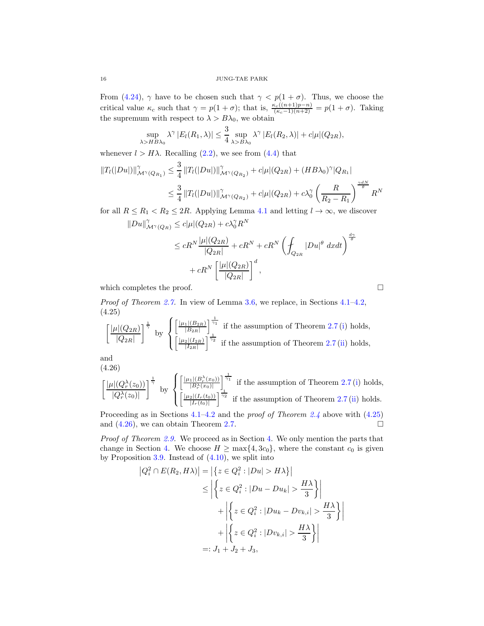From [\(4.24\)](#page-14-5),  $\gamma$  have to be chosen such that  $\gamma < p(1 + \sigma)$ . Thus, we choose the critical value  $\kappa_c$  such that  $\gamma = p(1 + \sigma)$ ; that is,  $\frac{\kappa_c((n+1)p-n)}{(\kappa_c-1)(n+2)} = p(1 + \sigma)$ . Taking the supremum with respect to  $\lambda > B\lambda_0$ , we obtain

$$
\sup_{\lambda > HB\lambda_0} \lambda^{\gamma} |E_l(R_1, \lambda)| \leq \frac{3}{4} \sup_{\lambda >B\lambda_0} \lambda^{\gamma} |E_l(R_2, \lambda)| + c|\mu|(Q_{2R}),
$$

whenever  $l > H\lambda$ . Recalling [\(2.2\)](#page-2-0), we see from [\(4.4\)](#page-11-5) that

$$
||T_l(|Du|)||^{\gamma}_{\mathcal{M}^{\gamma}(Q_{R_1})} \leq \frac{3}{4} ||T_l(|Du|)||^{\gamma}_{\mathcal{M}^{\gamma}(Q_{R_2})} + c|\mu|(Q_{2R}) + (HB\lambda_0)^{\gamma}|Q_{R_1}|
$$
  

$$
\leq \frac{3}{4} ||T_l(|Du|)||^{\gamma}_{\mathcal{M}^{\gamma}(Q_{R_2})} + c|\mu|(Q_{2R}) + c\lambda_0^{\gamma} \left(\frac{R}{R_2 - R_1}\right)^{\frac{\gamma dN}{\theta}} R^N
$$

for all  $R \le R_1 < R_2 \le 2R$ . Applying Lemma [4.1](#page-14-6) and letting  $l \to \infty$ , we discover  $||Du||^{\gamma}_{\mathcal{M}^{\gamma}(Q_R)} \leq c|\mu|(Q_{2R}) + c\lambda_0^{\gamma}R^N$ 

$$
\leq cR^N \frac{|\mu|(Q_{2R})}{|Q_{2R}|} + cR^N + cR^N \left( \int_{Q_{2R}} |Du|^{\theta} dxdt \right)^{\frac{d\gamma}{\theta}}
$$

$$
+ cR^N \left[ \frac{|\mu|(Q_{2R})}{|Q_{2R}|} \right]^d,
$$

which completes the proof.  $\Box$ 

*Proof of Theorem [2.7.](#page-5-1)* In view of Lemma [3.6,](#page-8-0) we replace, in Sections [4.1](#page-11-6)[–4.2,](#page-12-0) (4.25)

<span id="page-15-0"></span>
$$
\left[\frac{|\mu|(Q_{2R})}{|Q_{2R}|}\right]^{\frac{1}{\gamma}} \text{ by } \begin{cases} \left[\frac{|\mu_1|(B_{2R})}{|B_{2R}|}\right]^{\frac{1}{\gamma_1}} \text{ if the assumption of Theorem 2.7 (i) holds,} \\ \left[\frac{|\mu_2|(I_{2R})}{|I_{2R}|}\right]^{\frac{1}{\gamma_2}} \text{ if the assumption of Theorem 2.7 (ii) holds,} \end{cases}
$$

and (4.26)

<span id="page-15-1"></span>
$$
\left[\frac{|\mu|(Q_r^{\lambda}(z_0))}{|Q_r^{\lambda}(z_0)|}\right]^{\frac{1}{\gamma}} \text{ by } \begin{cases} \left[\frac{|\mu_1|(B_r^{\lambda}(x_0))}{|B_r^{\lambda}(x_0)|}\right]^{\frac{1}{\gamma_1}}\\ \left[\frac{|\mu_2|(I_r(t_0))}{|I_r(t_0)|}\right]^{\frac{1}{\gamma_2}} \text{ if the assumption of Theorem 2.7 (ii) holds.} \end{cases}
$$

Proceeding as in Sections [4.1](#page-11-6)[–4.2](#page-12-0) and the *proof of Theorem [2.4](#page-4-1)* above with [\(4.25\)](#page-15-0) and  $(4.26)$ , we can obtain Theorem [2.7.](#page-5-1)

*Proof of Theorem [2.9.](#page-6-4)* We proceed as in Section [4.](#page-10-0) We only mention the parts that change in Section [4.](#page-10-0) We choose  $H \ge \max\{4, 3c_0\}$ , where the constant  $c_0$  is given by Proposition  $3.9$ . Instead of  $(4.10)$ , we split into

$$
\begin{aligned} \left| Q_i^2 \cap E(R_2, H\lambda) \right| &= \left| \left\{ z \in Q_i^2 : |Du| > H\lambda \right\} \right| \\ &\le \left| \left\{ z \in Q_i^2 : |Du - Du_k| > \frac{H\lambda}{3} \right\} \right| \\ &\quad + \left| \left\{ z \in Q_i^2 : |Du_k - Dv_{k,i}| > \frac{H\lambda}{3} \right\} \right| \\ &\quad + \left| \left\{ z \in Q_i^2 : |Dv_{k,i}| > \frac{H\lambda}{3} \right\} \right| \\ &\equiv: J_1 + J_2 + J_3, \end{aligned}
$$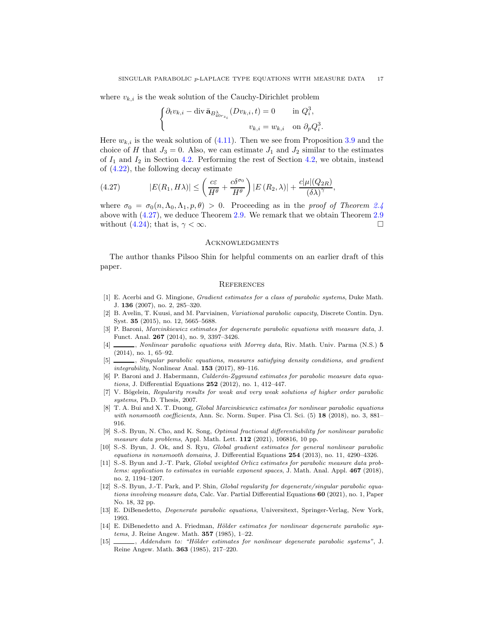where  $v_{k,i}$  is the weak solution of the Cauchy-Dirichlet problem

$$
\begin{cases} \partial_t v_{k,i} - \operatorname{div} \bar{\mathbf{a}}_{B_{40r_{z_i}}} (D v_{k,i}, t) = 0 & \text{in } Q_i^3, \\ v_{k,i} = w_{k,i} & \text{on } \partial_p Q_i^3. \end{cases}
$$

Here  $w_{k,i}$  is the weak solution of [\(4.11\)](#page-12-5). Then we see from Proposition [3.9](#page-10-1) and the choice of H that  $J_3 = 0$ . Also, we can estimate  $J_1$  and  $J_2$  similar to the estimates of  $I_1$  and  $I_2$  in Section [4.2.](#page-12-0) Performing the rest of Section [4.2,](#page-12-0) we obtain, instead of [\(4.22\)](#page-14-1), the following decay estimate

<span id="page-16-14"></span>(4.27) 
$$
|E(R_1, H\lambda)| \leq \left(\frac{c\varepsilon}{H^{\theta}} + \frac{c\delta^{\sigma_0}}{H^{\theta}}\right)|E(R_2, \lambda)| + \frac{c|\mu|(Q_{2R})}{(\delta\lambda)^{\gamma}},
$$

where  $\sigma_0 = \sigma_0(n, \Lambda_0, \Lambda_1, p, \theta) > 0$ . Proceeding as in the *proof of Theorem [2.4](#page-4-1)* above with [\(4.27\)](#page-16-14), we deduce Theorem [2.9.](#page-6-4) We remark that we obtain Theorem [2.9](#page-6-4) without [\(4.24\)](#page-14-5); that is,  $\gamma < \infty$ .

# Acknowledgments

The author thanks Pilsoo Shin for helpful comments on an earlier draft of this paper.

## **REFERENCES**

- <span id="page-16-3"></span>[1] E. Acerbi and G. Mingione, Gradient estimates for a class of parabolic systems, Duke Math. J. 136 (2007), no. 2, 285–320.
- <span id="page-16-10"></span>[2] B. Avelin, T. Kuusi, and M. Parviainen, Variational parabolic capacity, Discrete Contin. Dyn. Syst. 35 (2015), no. 12, 5665–5688.
- <span id="page-16-1"></span>[3] P. Baroni, Marcinkiewicz estimates for degenerate parabolic equations with measure data, J. Funct. Anal. 267 (2014), no. 9, 3397–3426.
- <span id="page-16-4"></span>[4]  $\Box$ , Nonlinear parabolic equations with Morrey data, Riv. Math. Univ. Parma (N.S.) 5 (2014), no. 1, 65–92.
- <span id="page-16-0"></span> $\Box$ , Singular parabolic equations, measures satisfying density conditions, and gradient integrability, Nonlinear Anal.  $153$  (2017), 89-116.
- <span id="page-16-5"></span>[6] P. Baroni and J. Habermann, Calderón-Zygmund estimates for parabolic measure data equations, J. Differential Equations 252 (2012), no. 1, 412–447.
- <span id="page-16-11"></span>[7] V. Bögelein, Regularity results for weak and very weak solutions of higher order parabolic systems, Ph.D. Thesis, 2007.
- <span id="page-16-2"></span>[8] T. A. Bui and X. T. Duong, Global Marcinkiewicz estimates for nonlinear parabolic equations with nonsmooth coefficients, Ann. Sc. Norm. Super. Pisa Cl. Sci. (5) 18 (2018), no. 3, 881– 916.
- <span id="page-16-6"></span>[9] S.-S. Byun, N. Cho, and K. Song, Optimal fractional differentiability for nonlinear parabolic measure data problems, Appl. Math. Lett. 112 (2021), 106816, 10 pp.
- <span id="page-16-12"></span>[10] S.-S. Byun, J. Ok, and S. Ryu, Global gradient estimates for general nonlinear parabolic equations in nonsmooth domains, J. Differential Equations  $254$  (2013), no. 11, 4290–4326.
- <span id="page-16-7"></span>[11] S.-S. Byun and J.-T. Park, Global weighted Orlicz estimates for parabolic measure data problems: application to estimates in variable exponent spaces, J. Math. Anal. Appl. 467 (2018), no. 2, 1194–1207.
- <span id="page-16-8"></span>[12] S.-S. Byun, J.-T. Park, and P. Shin, *Global regularity for degenerate/singular parabolic equa*tions involving measure data, Calc. Var. Partial Differential Equations 60 (2021), no. 1, Paper No. 18, 32 pp.
- <span id="page-16-9"></span>[13] E. DiBenedetto, Degenerate parabolic equations, Universitext, Springer-Verlag, New York, 1993.
- [14] E. DiBenedetto and A. Friedman, Hölder estimates for nonlinear degenerate parabolic systems, J. Reine Angew. Math. 357 (1985), 1–22.
- <span id="page-16-13"></span>[15]  $\_\_\_\_\$  Addendum to: "Hölder estimates for nonlinear degenerate parabolic systems", J. Reine Angew. Math. 363 (1985), 217–220.